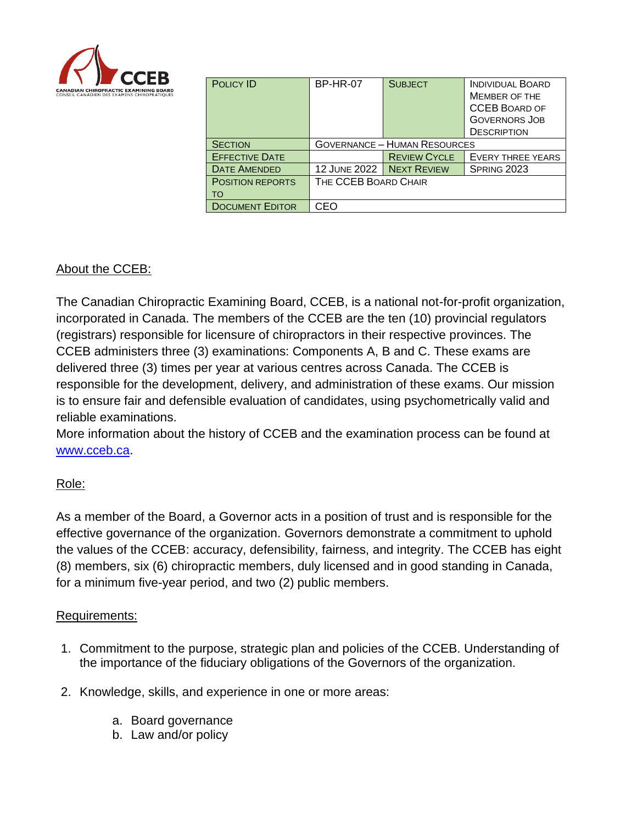

| <b>POLICY ID</b>        | <b>BP-HR-07</b>                     | <b>SUBJECT</b>      | <b>INDIVIDUAL BOARD</b><br><b>MEMBER OF THE</b><br><b>CCEB BOARD OF</b><br><b>GOVERNORS JOB</b><br><b>DESCRIPTION</b> |
|-------------------------|-------------------------------------|---------------------|-----------------------------------------------------------------------------------------------------------------------|
| <b>SECTION</b>          | <b>GOVERNANCE - HUMAN RESOURCES</b> |                     |                                                                                                                       |
| <b>EFFECTIVE DATE</b>   |                                     | <b>REVIEW CYCLE</b> | <b>EVERY THREE YEARS</b>                                                                                              |
| <b>DATE AMENDED</b>     | <b>12 JUNE 2022</b>                 | <b>NEXT REVIEW</b>  | SPRING 2023                                                                                                           |
| <b>POSITION REPORTS</b> | THE CCEB BOARD CHAIR                |                     |                                                                                                                       |
| TO                      |                                     |                     |                                                                                                                       |
| <b>DOCUMENT EDITOR</b>  | CEO                                 |                     |                                                                                                                       |

# About the CCEB:

The Canadian Chiropractic Examining Board, CCEB, is a national not-for-profit organization, incorporated in Canada. The members of the CCEB are the ten (10) provincial regulators (registrars) responsible for licensure of chiropractors in their respective provinces. The CCEB administers three (3) examinations: Components A, B and C. These exams are delivered three (3) times per year at various centres across Canada. The CCEB is responsible for the development, delivery, and administration of these exams. Our mission is to ensure fair and defensible evaluation of candidates, using psychometrically valid and reliable examinations.

More information about the history of CCEB and the examination process can be found at [www.cceb.ca.](http://www.cceb.ca/)

## Role:

As a member of the Board, a Governor acts in a position of trust and is responsible for the effective governance of the organization. Governors demonstrate a commitment to uphold the values of the CCEB: accuracy, defensibility, fairness, and integrity. The CCEB has eight (8) members, six (6) chiropractic members, duly licensed and in good standing in Canada, for a minimum five-year period, and two (2) public members.

## Requirements:

- 1. Commitment to the purpose, strategic plan and policies of the CCEB. Understanding of the importance of the fiduciary obligations of the Governors of the organization.
- 2. Knowledge, skills, and experience in one or more areas:
	- a. Board governance
	- b. Law and/or policy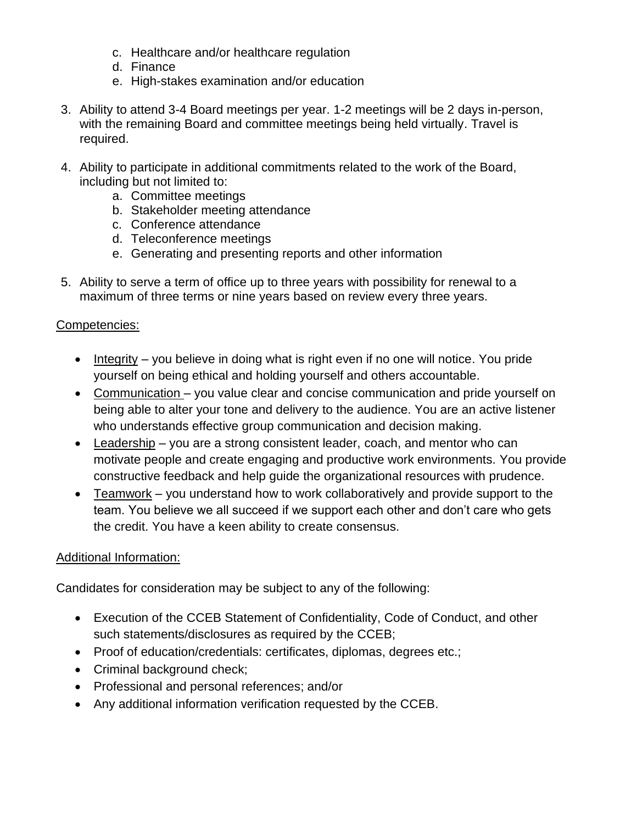- c. Healthcare and/or healthcare regulation
- d. Finance
- e. High-stakes examination and/or education
- 3. Ability to attend 3-4 Board meetings per year. 1-2 meetings will be 2 days in-person, with the remaining Board and committee meetings being held virtually. Travel is required.
- 4. Ability to participate in additional commitments related to the work of the Board, including but not limited to:
	- a. Committee meetings
	- b. Stakeholder meeting attendance
	- c. Conference attendance
	- d. Teleconference meetings
	- e. Generating and presenting reports and other information
- 5. Ability to serve a term of office up to three years with possibility for renewal to a maximum of three terms or nine years based on review every three years.

#### Competencies:

- Integrity you believe in doing what is right even if no one will notice. You pride yourself on being ethical and holding yourself and others accountable.
- Communication you value clear and concise communication and pride yourself on being able to alter your tone and delivery to the audience. You are an active listener who understands effective group communication and decision making.
- Leadership you are a strong consistent leader, coach, and mentor who can motivate people and create engaging and productive work environments. You provide constructive feedback and help guide the organizational resources with prudence.
- Teamwork you understand how to work collaboratively and provide support to the team. You believe we all succeed if we support each other and don't care who gets the credit. You have a keen ability to create consensus.

#### Additional Information:

Candidates for consideration may be subject to any of the following:

- Execution of the CCEB Statement of Confidentiality, Code of Conduct, and other such statements/disclosures as required by the CCEB;
- Proof of education/credentials: certificates, diplomas, degrees etc.;
- Criminal background check;
- Professional and personal references; and/or
- Any additional information verification requested by the CCEB.